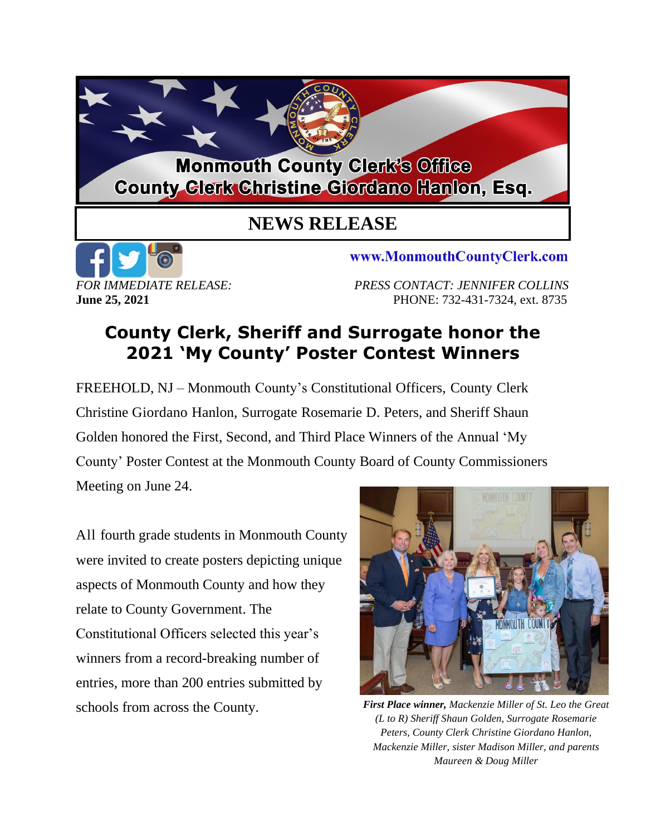## **Monmouth County Clerk's Office County Glerk Christine Giordano Hanlon, Esq.**

## **NEWS RELEASE**



www.MonmouthCountyClerk.com

*FOR IMMEDIATE RELEASE: PRESS CONTACT: JENNIFER COLLINS* **June 25, 2021 PHONE: 732-431-7324, ext. 8735** 

## **County Clerk, Sheriff and Surrogate honor the 2021 'My County' Poster Contest Winners**

FREEHOLD, NJ – Monmouth County's Constitutional Officers, County Clerk Christine Giordano Hanlon, Surrogate Rosemarie D. Peters, and Sheriff Shaun Golden honored the First, Second, and Third Place Winners of the Annual 'My County' Poster Contest at the Monmouth County Board of County Commissioners Meeting on June 24.

All fourth grade students in Monmouth County were invited to create posters depicting unique aspects of Monmouth County and how they relate to County Government. The Constitutional Officers selected this year's winners from a record-breaking number of entries, more than 200 entries submitted by schools from across the County.



*First Place winner, Mackenzie Miller of St. Leo the Great (L to R) Sheriff Shaun Golden, Surrogate Rosemarie Peters, County Clerk Christine Giordano Hanlon, Mackenzie Miller, sister Madison Miller, and parents Maureen & Doug Miller*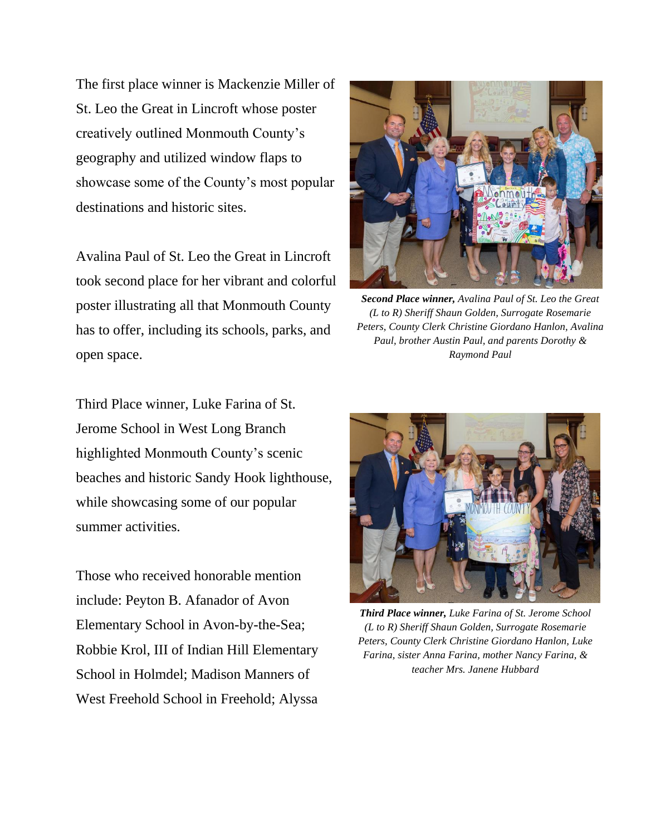The first place winner is Mackenzie Miller of St. Leo the Great in Lincroft whose poster creatively outlined Monmouth County's geography and utilized window flaps to showcase some of the County's most popular destinations and historic sites.

Avalina Paul of St. Leo the Great in Lincroft took second place for her vibrant and colorful poster illustrating all that Monmouth County has to offer, including its schools, parks, and open space.

Third Place winner, Luke Farina of St. Jerome School in West Long Branch highlighted Monmouth County's scenic beaches and historic Sandy Hook lighthouse, while showcasing some of our popular summer activities.

Those who received honorable mention include: Peyton B. Afanador of Avon Elementary School in Avon-by-the-Sea; Robbie Krol, III of Indian Hill Elementary School in Holmdel; Madison Manners of West Freehold School in Freehold; Alyssa



*Second Place winner, Avalina Paul of St. Leo the Great (L to R) Sheriff Shaun Golden, Surrogate Rosemarie Peters, County Clerk Christine Giordano Hanlon, Avalina Paul, brother Austin Paul, and parents Dorothy & Raymond Paul*



*Third Place winner, Luke Farina of St. Jerome School (L to R) Sheriff Shaun Golden, Surrogate Rosemarie Peters, County Clerk Christine Giordano Hanlon, Luke Farina, sister Anna Farina, mother Nancy Farina, & teacher Mrs. Janene Hubbard*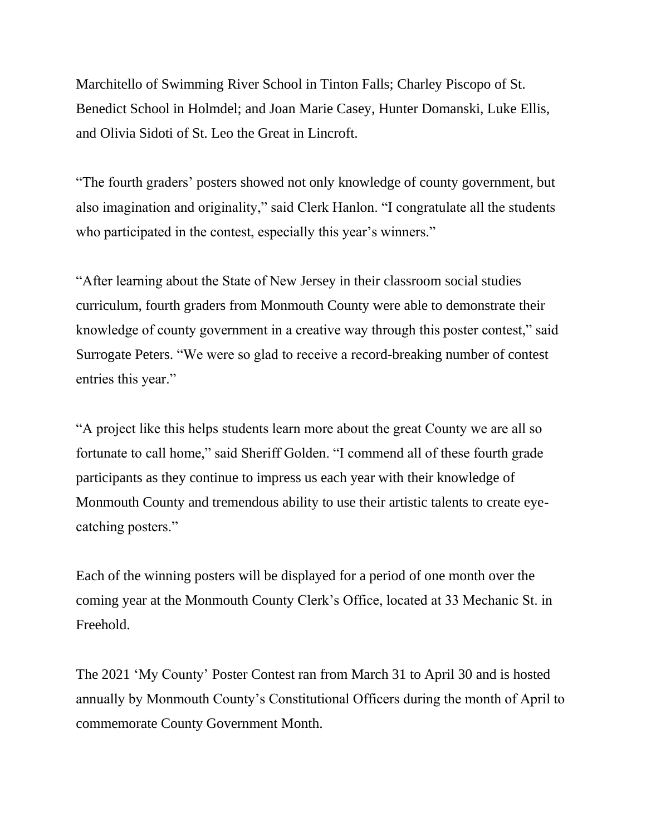Marchitello of Swimming River School in Tinton Falls; Charley Piscopo of St. Benedict School in Holmdel; and Joan Marie Casey, Hunter Domanski, Luke Ellis, and Olivia Sidoti of St. Leo the Great in Lincroft.

"The fourth graders' posters showed not only knowledge of county government, but also imagination and originality," said Clerk Hanlon. "I congratulate all the students who participated in the contest, especially this year's winners."

"After learning about the State of New Jersey in their classroom social studies curriculum, fourth graders from Monmouth County were able to demonstrate their knowledge of county government in a creative way through this poster contest," said Surrogate Peters. "We were so glad to receive a record-breaking number of contest entries this year."

"A project like this helps students learn more about the great County we are all so fortunate to call home," said Sheriff Golden. "I commend all of these fourth grade participants as they continue to impress us each year with their knowledge of Monmouth County and tremendous ability to use their artistic talents to create eyecatching posters."

Each of the winning posters will be displayed for a period of one month over the coming year at the Monmouth County Clerk's Office, located at 33 Mechanic St. in Freehold.

The 2021 'My County' Poster Contest ran from March 31 to April 30 and is hosted annually by Monmouth County's Constitutional Officers during the month of April to commemorate County Government Month.